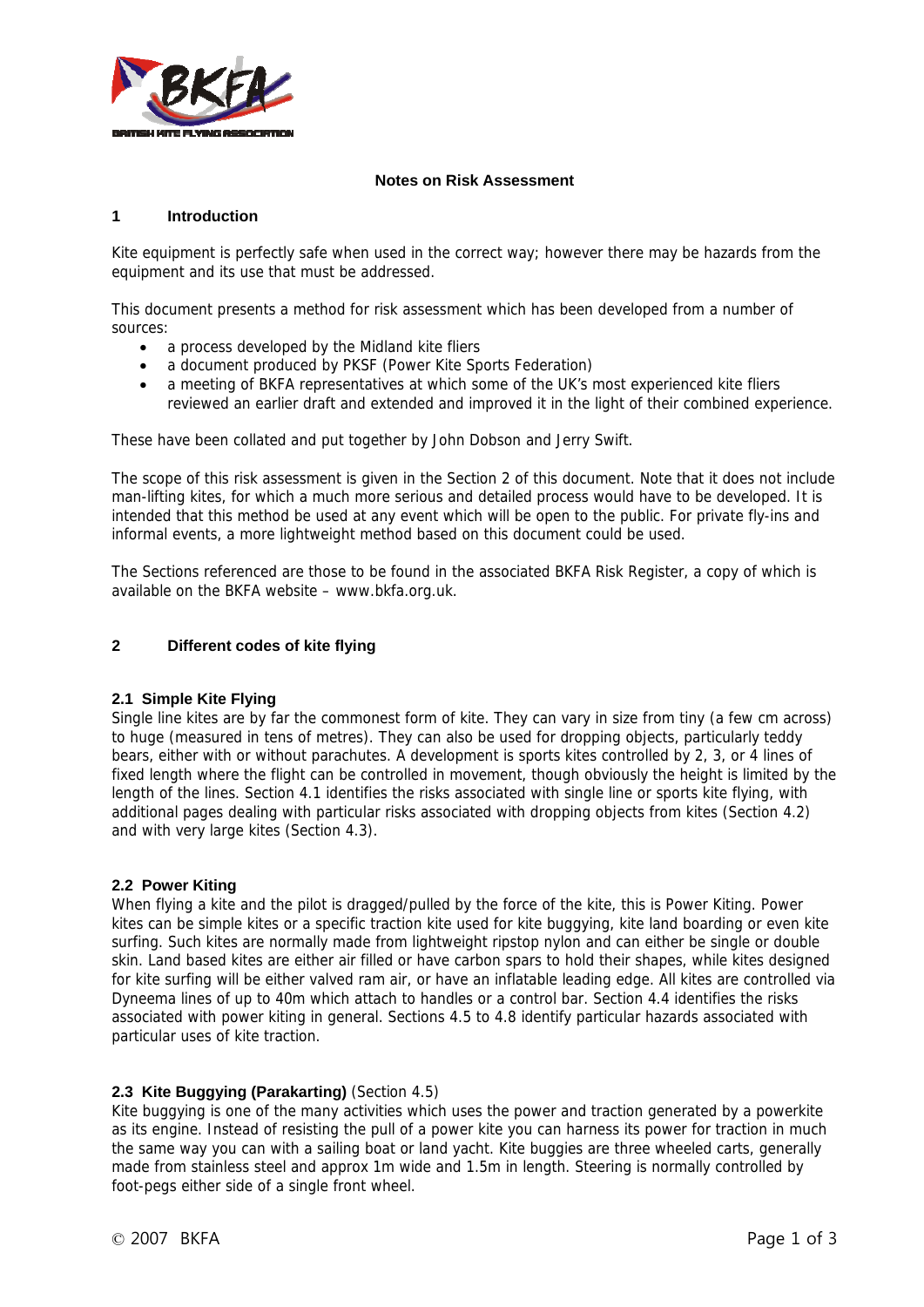

#### **Notes on Risk Assessment**

#### **1 Introduction**

Kite equipment is perfectly safe when used in the correct way; however there may be hazards from the equipment and its use that must be addressed.

This document presents a method for risk assessment which has been developed from a number of sources:

- a process developed by the Midland kite fliers
- a document produced by PKSF (Power Kite Sports Federation)
- a meeting of BKFA representatives at which some of the UK's most experienced kite fliers reviewed an earlier draft and extended and improved it in the light of their combined experience.

These have been collated and put together by John Dobson and Jerry Swift.

The scope of this risk assessment is given in the Section 2 of this document. Note that it does not include man-lifting kites, for which a much more serious and detailed process would have to be developed. It is intended that this method be used at any event which will be open to the public. For private fly-ins and informal events, a more lightweight method based on this document could be used.

The Sections referenced are those to be found in the associated BKFA Risk Register, a copy of which is available on the BKFA website – www.bkfa.org.uk.

#### **2 Different codes of kite flying**

## **2.1 Simple Kite Flying**

Single line kites are by far the commonest form of kite. They can vary in size from tiny (a few cm across) to huge (measured in tens of metres). They can also be used for dropping objects, particularly teddy bears, either with or without parachutes. A development is sports kites controlled by 2, 3, or 4 lines of fixed length where the flight can be controlled in movement, though obviously the height is limited by the length of the lines. Section 4.1 identifies the risks associated with single line or sports kite flying, with additional pages dealing with particular risks associated with dropping objects from kites (Section 4.2) and with very large kites (Section 4.3).

## **2.2 Power Kiting**

When flying a kite and the pilot is dragged/pulled by the force of the kite, this is Power Kiting. Power kites can be simple kites or a specific traction kite used for kite buggying, kite land boarding or even kite surfing. Such kites are normally made from lightweight ripstop nylon and can either be single or double skin. Land based kites are either air filled or have carbon spars to hold their shapes, while kites designed for kite surfing will be either valved ram air, or have an inflatable leading edge. All kites are controlled via Dyneema lines of up to 40m which attach to handles or a control bar. Section 4.4 identifies the risks associated with power kiting in general. Sections 4.5 to 4.8 identify particular hazards associated with particular uses of kite traction.

## **2.3 Kite Buggying (Parakarting)** (Section 4.5)

Kite buggying is one of the many activities which uses the power and traction generated by a powerkite as its engine. Instead of resisting the pull of a power kite you can harness its power for traction in much the same way you can with a sailing boat or land yacht. Kite buggies are three wheeled carts, generally made from stainless steel and approx 1m wide and 1.5m in length. Steering is normally controlled by foot-pegs either side of a single front wheel.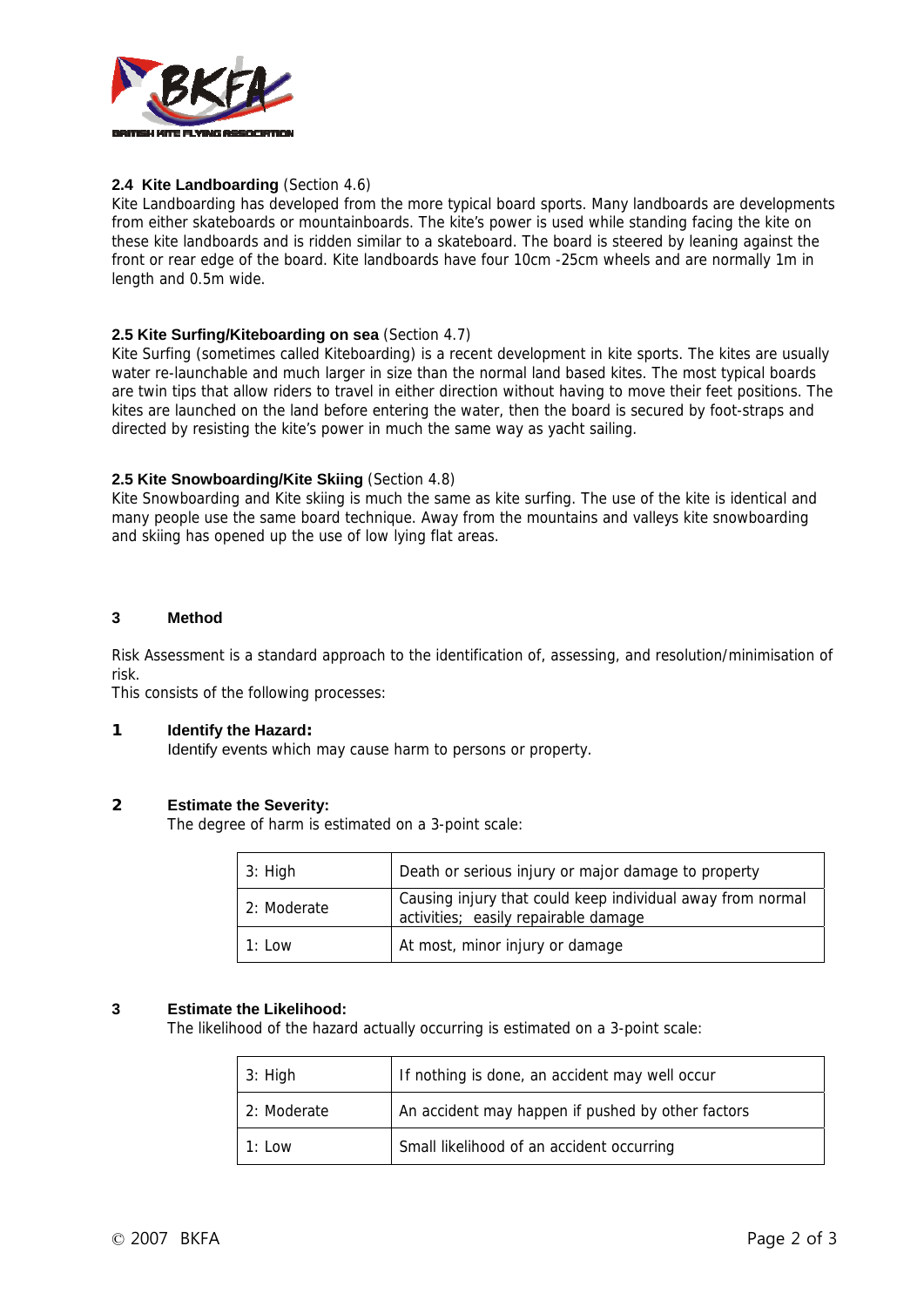

# **2.4 Kite Landboarding** (Section 4.6)

Kite Landboarding has developed from the more typical board sports. Many landboards are developments from either skateboards or mountainboards. The kite's power is used while standing facing the kite on these kite landboards and is ridden similar to a skateboard. The board is steered by leaning against the front or rear edge of the board. Kite landboards have four 10cm -25cm wheels and are normally 1m in length and 0.5m wide.

## **2.5 Kite Surfing/Kiteboarding on sea** (Section 4.7)

Kite Surfing (sometimes called Kiteboarding) is a recent development in kite sports. The kites are usually water re-launchable and much larger in size than the normal land based kites. The most typical boards are twin tips that allow riders to travel in either direction without having to move their feet positions. The kites are launched on the land before entering the water, then the board is secured by foot-straps and directed by resisting the kite's power in much the same way as yacht sailing.

## **2.5 Kite Snowboarding/Kite Skiing** (Section 4.8)

Kite Snowboarding and Kite skiing is much the same as kite surfing. The use of the kite is identical and many people use the same board technique. Away from the mountains and valleys kite snowboarding and skiing has opened up the use of low lying flat areas.

## **3 Method**

Risk Assessment is a standard approach to the identification of, assessing, and resolution/minimisation of risk.

This consists of the following processes:

## **1 Identify the Hazard:**

Identify events which may cause harm to persons or property.

## **2 Estimate the Severity:**

The degree of harm is estimated on a 3-point scale:

| 3: High     | Death or serious injury or major damage to property                                                |
|-------------|----------------------------------------------------------------------------------------------------|
| 2: Moderate | Causing injury that could keep individual away from normal<br>activities; easily repairable damage |
| $1:1$ OW    | At most, minor injury or damage                                                                    |

## **3 Estimate the Likelihood:**

The likelihood of the hazard actually occurring is estimated on a 3-point scale:

| 3: High     | If nothing is done, an accident may well occur    |  |  |
|-------------|---------------------------------------------------|--|--|
| 2: Moderate | An accident may happen if pushed by other factors |  |  |
| $1:1$ OW    | Small likelihood of an accident occurring         |  |  |